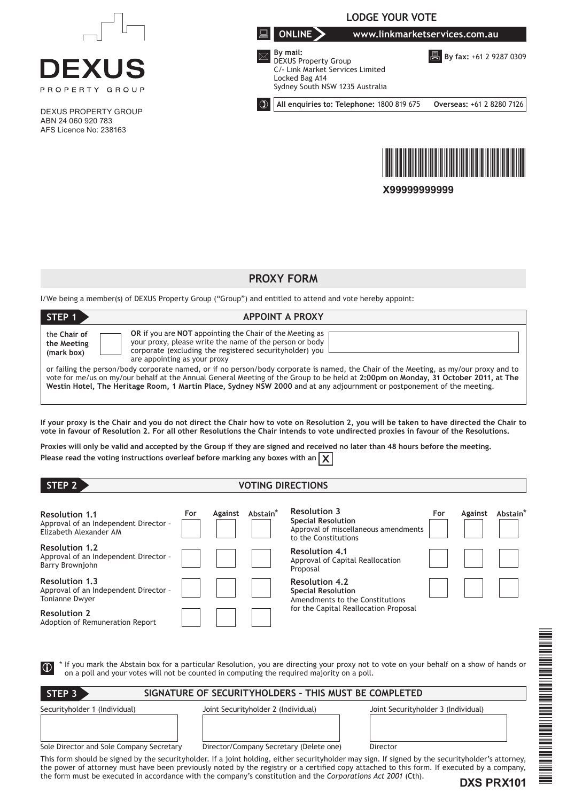

# **PROXY FORM**

I/We being a member(s) of DEXUS Property Group ("Group") and entitled to attend and vote hereby appoint:

| STEP 1                                                                                                                                                                                                                                                                                                                                                                                                 | <b>APPOINT A PROXY</b>                                                                                                                                                                                          |  |  |  |  |
|--------------------------------------------------------------------------------------------------------------------------------------------------------------------------------------------------------------------------------------------------------------------------------------------------------------------------------------------------------------------------------------------------------|-----------------------------------------------------------------------------------------------------------------------------------------------------------------------------------------------------------------|--|--|--|--|
| the Chair of<br>the Meeting<br>(mark box)                                                                                                                                                                                                                                                                                                                                                              | OR if you are NOT appointing the Chair of the Meeting as<br>your proxy, please write the name of the person or body<br>corporate (excluding the registered security holder) you<br>are appointing as your proxy |  |  |  |  |
| or failing the person/body corporate named, or if no person/body corporate is named, the Chair of the Meeting, as my/our proxy and to<br>yote for me/us on my/our behalf at the Annual General Meeting of the Group to be held at 2:00pm on Monday, 31 October 2011, at The<br>Westin Hotel, The Heritage Room, 1 Martin Place, Sydney NSW 2000 and at any adjournment or postponement of the meeting. |                                                                                                                                                                                                                 |  |  |  |  |

**If your proxy is the Chair and you do not direct the Chair how to vote on Resolution 2, you will be taken to have directed the Chair to vote in favour of Resolution 2. For all other Resolutions the Chair intends to vote undirected proxies in favour of the Resolutions.**

**Proxies will only be valid and accepted by the Group if they are signed and received no later than 48 hours before the meeting. Please read the voting instructions overleaf before marking any boxes with an**  $\chi$ 

| STEP <sub>2</sub>                                                                                        | <b>VOTING DIRECTIONS</b> |         |                      |                                                                                                                                        |     |         |                      |
|----------------------------------------------------------------------------------------------------------|--------------------------|---------|----------------------|----------------------------------------------------------------------------------------------------------------------------------------|-----|---------|----------------------|
| <b>Resolution 1.1</b><br>Approval of an Independent Director -<br>Elizabeth Alexander AM                 | For                      | Against | Abstain <sup>*</sup> | <b>Resolution 3</b><br><b>Special Resolution</b><br>Approval of miscellaneous amendments<br>to the Constitutions                       | For | Against | Abstain <sup>*</sup> |
| <b>Resolution 1.2</b><br>Approval of an Independent Director -<br>Barry Brownjohn                        |                          |         |                      | <b>Resolution 4.1</b><br>Approval of Capital Reallocation<br>Proposal                                                                  |     |         |                      |
| <b>Resolution 1.3</b><br>Approval of an Independent Director -<br>Tonianne Dwyer                         |                          |         |                      | <b>Resolution 4.2</b><br><b>Special Resolution</b><br>Amendments to the Constitutions<br>for the Capital Reallocation Proposal         |     |         |                      |
| <b>Resolution 2</b><br>Adoption of Remuneration Report                                                   |                          |         |                      |                                                                                                                                        |     |         |                      |
| $\bigcirc$<br>on a poll and your votes will not be counted in computing the required majority on a poll. |                          |         |                      | If you mark the Abstain box for a particular Resolution, you are directing your proxy not to vote on your behalf on a show of hands or |     |         |                      |

| SIGNATURE OF SECURITYHOLDERS - THIS MUST BE COMPLETED<br>STEP <sub>3</sub>                                                                                                                                                                                                                      |                                         |                                     |  |  |  |  |  |  |
|-------------------------------------------------------------------------------------------------------------------------------------------------------------------------------------------------------------------------------------------------------------------------------------------------|-----------------------------------------|-------------------------------------|--|--|--|--|--|--|
| Securityholder 1 (Individual)                                                                                                                                                                                                                                                                   | Joint Securityholder 2 (Individual)     | Joint Securityholder 3 (Individual) |  |  |  |  |  |  |
| Sole Director and Sole Company Secretary                                                                                                                                                                                                                                                        | Director/Company Secretary (Delete one) | Director                            |  |  |  |  |  |  |
| This form should be signed by the securityholder. If a joint holding, either securityholder may sign. If signed by the securityholder's attorney,<br>the power of attorney must have been previously noted by the registry or a certified copy attached to this form. If executed by a company, |                                         |                                     |  |  |  |  |  |  |

the form must be executed in accordance with the company's constitution and the *Corporations Act 2001* (Cth).

**DXS PRX101**

\*DXS PRX101\*

N THE REAL PROPERTY AND THE PARTIES OF THE REAL PROPERTY.